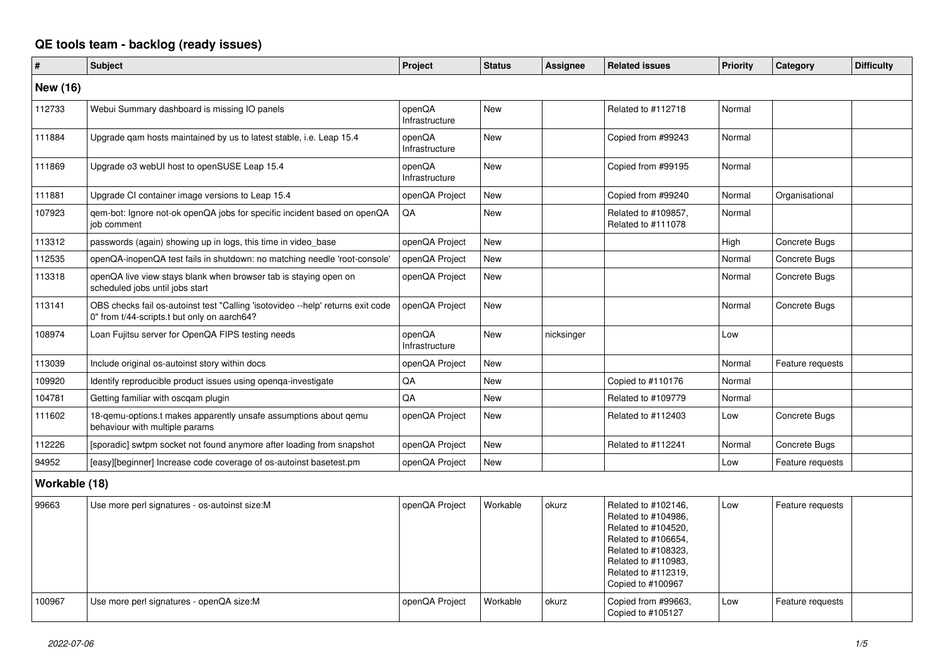## **QE tools team - backlog (ready issues)**

| #               | <b>Subject</b>                                                                                                                 | Project                  | <b>Status</b> | Assignee   | <b>Related issues</b>                                                                                                                                                              | <b>Priority</b> | Category         | <b>Difficulty</b> |
|-----------------|--------------------------------------------------------------------------------------------------------------------------------|--------------------------|---------------|------------|------------------------------------------------------------------------------------------------------------------------------------------------------------------------------------|-----------------|------------------|-------------------|
| <b>New (16)</b> |                                                                                                                                |                          |               |            |                                                                                                                                                                                    |                 |                  |                   |
| 112733          | Webui Summary dashboard is missing IO panels                                                                                   | openQA<br>Infrastructure | <b>New</b>    |            | Related to #112718                                                                                                                                                                 | Normal          |                  |                   |
| 111884          | Upgrade gam hosts maintained by us to latest stable, i.e. Leap 15.4                                                            | openQA<br>Infrastructure | <b>New</b>    |            | Copied from #99243                                                                                                                                                                 | Normal          |                  |                   |
| 111869          | Upgrade o3 webUI host to openSUSE Leap 15.4                                                                                    | openQA<br>Infrastructure | <b>New</b>    |            | Copied from #99195                                                                                                                                                                 | Normal          |                  |                   |
| 111881          | Upgrade CI container image versions to Leap 15.4                                                                               | openQA Project           | <b>New</b>    |            | Copied from #99240                                                                                                                                                                 | Normal          | Organisational   |                   |
| 107923          | gem-bot: Ignore not-ok openQA jobs for specific incident based on openQA<br>job comment                                        | QA                       | <b>New</b>    |            | Related to #109857,<br>Related to #111078                                                                                                                                          | Normal          |                  |                   |
| 113312          | passwords (again) showing up in logs, this time in video_base                                                                  | openQA Project           | <b>New</b>    |            |                                                                                                                                                                                    | High            | Concrete Bugs    |                   |
| 112535          | openQA-inopenQA test fails in shutdown: no matching needle 'root-console'                                                      | openQA Project           | <b>New</b>    |            |                                                                                                                                                                                    | Normal          | Concrete Bugs    |                   |
| 113318          | openQA live view stays blank when browser tab is staying open on<br>scheduled jobs until jobs start                            | openQA Project           | <b>New</b>    |            |                                                                                                                                                                                    | Normal          | Concrete Bugs    |                   |
| 113141          | OBS checks fail os-autoinst test "Calling 'isotovideo --help' returns exit code<br>0" from t/44-scripts.t but only on aarch64? | openQA Project           | <b>New</b>    |            |                                                                                                                                                                                    | Normal          | Concrete Bugs    |                   |
| 108974          | Loan Fujitsu server for OpenQA FIPS testing needs                                                                              | openQA<br>Infrastructure | <b>New</b>    | nicksinger |                                                                                                                                                                                    | Low             |                  |                   |
| 113039          | Include original os-autoinst story within docs                                                                                 | openQA Project           | <b>New</b>    |            |                                                                                                                                                                                    | Normal          | Feature requests |                   |
| 109920          | Identify reproducible product issues using openga-investigate                                                                  | QA                       | <b>New</b>    |            | Copied to #110176                                                                                                                                                                  | Normal          |                  |                   |
| 104781          | Getting familiar with oscgam plugin                                                                                            | QA                       | <b>New</b>    |            | Related to #109779                                                                                                                                                                 | Normal          |                  |                   |
| 111602          | 18-gemu-options.t makes apparently unsafe assumptions about gemu<br>behaviour with multiple params                             | openQA Project           | <b>New</b>    |            | Related to #112403                                                                                                                                                                 | Low             | Concrete Bugs    |                   |
| 112226          | [sporadic] swtpm socket not found anymore after loading from snapshot                                                          | openQA Project           | <b>New</b>    |            | Related to #112241                                                                                                                                                                 | Normal          | Concrete Bugs    |                   |
| 94952           | [easy][beginner] Increase code coverage of os-autoinst basetest.pm                                                             | openQA Project           | <b>New</b>    |            |                                                                                                                                                                                    | Low             | Feature requests |                   |
| Workable (18)   |                                                                                                                                |                          |               |            |                                                                                                                                                                                    |                 |                  |                   |
| 99663           | Use more perl signatures - os-autoinst size:M                                                                                  | openQA Project           | Workable      | okurz      | Related to #102146,<br>Related to #104986,<br>Related to #104520,<br>Related to #106654,<br>Related to #108323,<br>Related to #110983,<br>Related to #112319,<br>Copied to #100967 | Low             | Feature requests |                   |
| 100967          | Use more perl signatures - openQA size:M                                                                                       | openQA Project           | Workable      | okurz      | Copied from #99663.<br>Copied to #105127                                                                                                                                           | Low             | Feature requests |                   |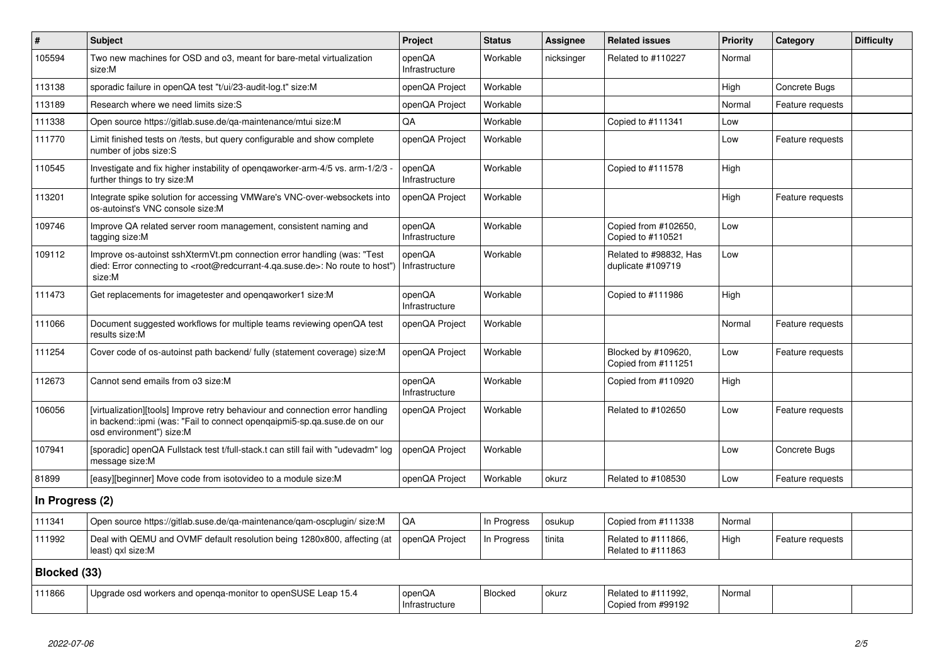| $\vert$ #       | <b>Subject</b>                                                                                                                                                                                    | Project                  | <b>Status</b>  | Assignee   | <b>Related issues</b>                       | Priority        | Category         | <b>Difficulty</b> |
|-----------------|---------------------------------------------------------------------------------------------------------------------------------------------------------------------------------------------------|--------------------------|----------------|------------|---------------------------------------------|-----------------|------------------|-------------------|
| 105594          | Two new machines for OSD and o3, meant for bare-metal virtualization<br>size:M                                                                                                                    | openQA<br>Infrastructure | Workable       | nicksinger | Related to #110227                          | Normal          |                  |                   |
| 113138          | sporadic failure in openQA test "t/ui/23-audit-log.t" size:M                                                                                                                                      | openQA Project           | Workable       |            |                                             | High            | Concrete Bugs    |                   |
| 113189          | Research where we need limits size:S                                                                                                                                                              | openQA Project           | Workable       |            |                                             | Normal          | Feature requests |                   |
| 111338          | Open source https://gitlab.suse.de/ga-maintenance/mtui size:M                                                                                                                                     | QA                       | Workable       |            | Copied to #111341                           | Low             |                  |                   |
| 111770          | Limit finished tests on /tests, but query configurable and show complete<br>number of jobs size:S                                                                                                 | openQA Project           | Workable       |            |                                             | Low             | Feature requests |                   |
| 110545          | Investigate and fix higher instability of opengaworker-arm-4/5 vs. arm-1/2/3 -<br>further things to try size:M                                                                                    | openQA<br>Infrastructure | Workable       |            | Copied to #111578                           | High            |                  |                   |
| 113201          | Integrate spike solution for accessing VMWare's VNC-over-websockets into<br>os-autoinst's VNC console size:M                                                                                      | openQA Project           | Workable       |            |                                             | High            | Feature requests |                   |
| 109746          | Improve QA related server room management, consistent naming and<br>tagging size:M                                                                                                                | openQA<br>Infrastructure | Workable       |            | Copied from #102650,<br>Copied to #110521   | L <sub>OW</sub> |                  |                   |
| 109112          | Improve os-autoinst sshXtermVt.pm connection error handling (was: "Test<br>died: Error connecting to <root@redcurrant-4.ga.suse.de>: No route to host")<br/>size:M</root@redcurrant-4.ga.suse.de> | openQA<br>Infrastructure | Workable       |            | Related to #98832, Has<br>duplicate #109719 | Low             |                  |                   |
| 111473          | Get replacements for imagetester and opengaworker1 size:M                                                                                                                                         | openQA<br>Infrastructure | Workable       |            | Copied to #111986                           | High            |                  |                   |
| 111066          | Document suggested workflows for multiple teams reviewing openQA test<br>results size:M                                                                                                           | openQA Project           | Workable       |            |                                             | Normal          | Feature requests |                   |
| 111254          | Cover code of os-autoinst path backend/ fully (statement coverage) size:M                                                                                                                         | openQA Project           | Workable       |            | Blocked by #109620,<br>Copied from #111251  | Low             | Feature requests |                   |
| 112673          | Cannot send emails from o3 size:M                                                                                                                                                                 | openQA<br>Infrastructure | Workable       |            | Copied from #110920                         | High            |                  |                   |
| 106056          | [virtualization][tools] Improve retry behaviour and connection error handling<br>in backend::ipmi (was: "Fail to connect opengaipmi5-sp.ga.suse.de on our<br>osd environment") size:M             | openQA Project           | Workable       |            | Related to #102650                          | Low             | Feature requests |                   |
| 107941          | [sporadic] openQA Fullstack test t/full-stack.t can still fail with "udevadm" log<br>message size:M                                                                                               | openQA Project           | Workable       |            |                                             | Low             | Concrete Bugs    |                   |
| 81899           | [easy][beginner] Move code from isotovideo to a module size:M                                                                                                                                     | openQA Project           | Workable       | okurz      | Related to #108530                          | Low             | Feature requests |                   |
| In Progress (2) |                                                                                                                                                                                                   |                          |                |            |                                             |                 |                  |                   |
| 111341          | Open source https://gitlab.suse.de/qa-maintenance/qam-oscplugin/ size:M                                                                                                                           | QA                       | In Progress    | osukup     | Copied from #111338                         | Normal          |                  |                   |
| 111992          | Deal with QEMU and OVMF default resolution being 1280x800, affecting (at<br>least) gxl size:M                                                                                                     | openQA Project           | In Progress    | tinita     | Related to #111866,<br>Related to #111863   | High            | Feature requests |                   |
| Blocked (33)    |                                                                                                                                                                                                   |                          |                |            |                                             |                 |                  |                   |
| 111866          | Upgrade osd workers and openqa-monitor to openSUSE Leap 15.4                                                                                                                                      | openQA<br>Infrastructure | <b>Blocked</b> | okurz      | Related to #111992.<br>Copied from #99192   | Normal          |                  |                   |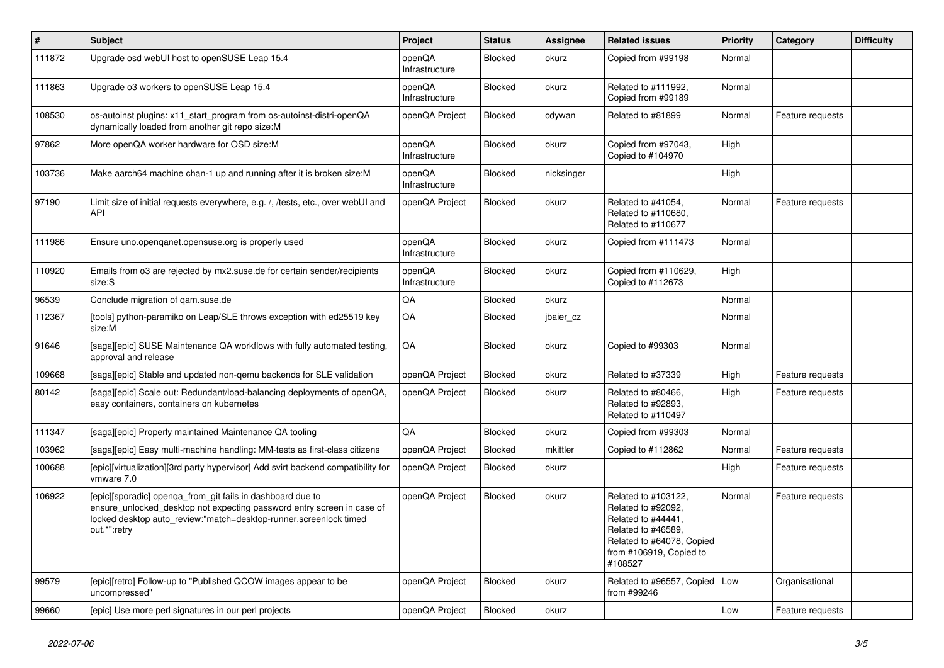| $\vert$ # | <b>Subject</b>                                                                                                                                                                                                            | Project                  | <b>Status</b>  | Assignee   | <b>Related issues</b>                                                                                                                                    | Priority | Category         | <b>Difficulty</b> |
|-----------|---------------------------------------------------------------------------------------------------------------------------------------------------------------------------------------------------------------------------|--------------------------|----------------|------------|----------------------------------------------------------------------------------------------------------------------------------------------------------|----------|------------------|-------------------|
| 111872    | Upgrade osd webUI host to openSUSE Leap 15.4                                                                                                                                                                              | openQA<br>Infrastructure | <b>Blocked</b> | okurz      | Copied from #99198                                                                                                                                       | Normal   |                  |                   |
| 111863    | Upgrade o3 workers to openSUSE Leap 15.4                                                                                                                                                                                  | openQA<br>Infrastructure | <b>Blocked</b> | okurz      | Related to #111992,<br>Copied from #99189                                                                                                                | Normal   |                  |                   |
| 108530    | os-autoinst plugins: x11_start_program from os-autoinst-distri-openQA<br>dynamically loaded from another git repo size:M                                                                                                  | openQA Project           | Blocked        | cdywan     | Related to #81899                                                                                                                                        | Normal   | Feature requests |                   |
| 97862     | More openQA worker hardware for OSD size:M                                                                                                                                                                                | openQA<br>Infrastructure | Blocked        | okurz      | Copied from #97043,<br>Copied to #104970                                                                                                                 | High     |                  |                   |
| 103736    | Make aarch64 machine chan-1 up and running after it is broken size:M                                                                                                                                                      | openQA<br>Infrastructure | <b>Blocked</b> | nicksinger |                                                                                                                                                          | High     |                  |                   |
| 97190     | Limit size of initial requests everywhere, e.g. /, /tests, etc., over webUI and<br>API                                                                                                                                    | openQA Project           | Blocked        | okurz      | Related to #41054,<br>Related to #110680,<br>Related to #110677                                                                                          | Normal   | Feature requests |                   |
| 111986    | Ensure uno openganet opensuse org is properly used                                                                                                                                                                        | openQA<br>Infrastructure | <b>Blocked</b> | okurz      | Copied from #111473                                                                                                                                      | Normal   |                  |                   |
| 110920    | Emails from o3 are rejected by mx2.suse.de for certain sender/recipients<br>size:S                                                                                                                                        | openQA<br>Infrastructure | <b>Blocked</b> | okurz      | Copied from #110629,<br>Copied to #112673                                                                                                                | High     |                  |                   |
| 96539     | Conclude migration of gam.suse.de                                                                                                                                                                                         | QA                       | <b>Blocked</b> | okurz      |                                                                                                                                                          | Normal   |                  |                   |
| 112367    | [tools] python-paramiko on Leap/SLE throws exception with ed25519 key<br>size:M                                                                                                                                           | QA                       | Blocked        | jbaier_cz  |                                                                                                                                                          | Normal   |                  |                   |
| 91646     | [saga][epic] SUSE Maintenance QA workflows with fully automated testing,<br>approval and release                                                                                                                          | QA                       | <b>Blocked</b> | okurz      | Copied to #99303                                                                                                                                         | Normal   |                  |                   |
| 109668    | [saga][epic] Stable and updated non-gemu backends for SLE validation                                                                                                                                                      | openQA Project           | Blocked        | okurz      | Related to #37339                                                                                                                                        | High     | Feature requests |                   |
| 80142     | [saga][epic] Scale out: Redundant/load-balancing deployments of openQA,<br>easy containers, containers on kubernetes                                                                                                      | openQA Project           | Blocked        | okurz      | Related to #80466,<br>Related to #92893,<br>Related to #110497                                                                                           | High     | Feature requests |                   |
| 111347    | [saga][epic] Properly maintained Maintenance QA tooling                                                                                                                                                                   | ΟA                       | <b>Blocked</b> | okurz      | Copied from #99303                                                                                                                                       | Normal   |                  |                   |
| 103962    | [saga][epic] Easy multi-machine handling: MM-tests as first-class citizens                                                                                                                                                | openQA Project           | Blocked        | mkittler   | Copied to #112862                                                                                                                                        | Normal   | Feature requests |                   |
| 100688    | [epic][virtualization][3rd party hypervisor] Add svirt backend compatibility for<br>vmware 7.0                                                                                                                            | openQA Project           | <b>Blocked</b> | okurz      |                                                                                                                                                          | High     | Feature requests |                   |
| 106922    | [epic][sporadic] openga from git fails in dashboard due to<br>ensure_unlocked_desktop not expecting password entry screen in case of<br>locked desktop auto_review:"match=desktop-runner,screenlock timed<br>out.*":retry | openQA Project           | Blocked        | okurz      | Related to #103122,<br>Related to #92092,<br>Related to #44441,<br>Related to #46589,<br>Related to #64078, Copied<br>from #106919, Copied to<br>#108527 | Normal   | Feature requests |                   |
| 99579     | [epic][retro] Follow-up to "Published QCOW images appear to be<br>uncompressed"                                                                                                                                           | openQA Project           | <b>Blocked</b> | okurz      | Related to #96557, Copied<br>from #99246                                                                                                                 | Low      | Organisational   |                   |
| 99660     | [epic] Use more perl signatures in our perl projects                                                                                                                                                                      | openQA Project           | Blocked        | okurz      |                                                                                                                                                          | Low      | Feature requests |                   |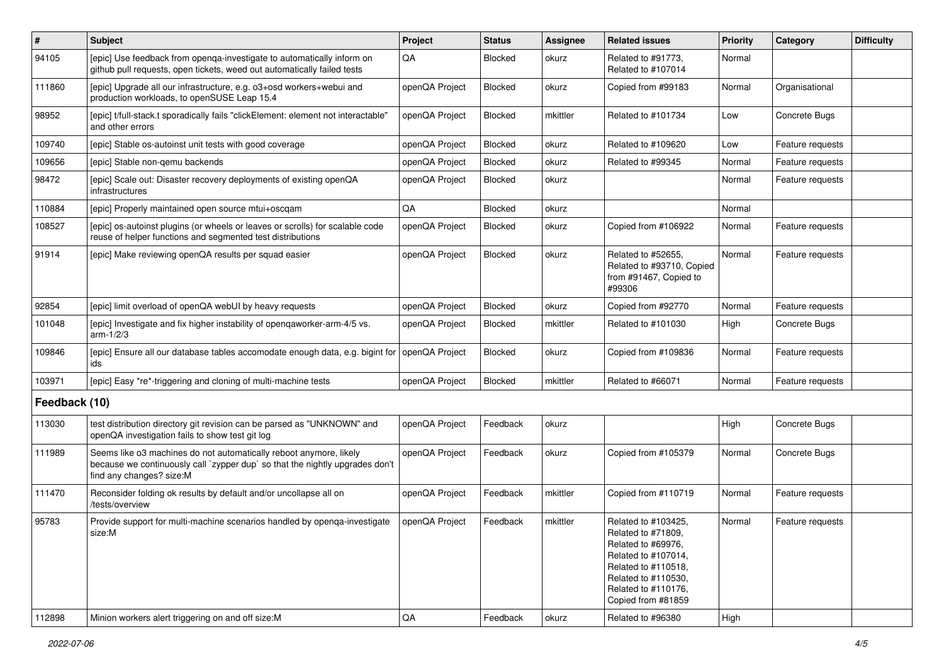| $\vert$ #     | Subject                                                                                                                                                                        | Project        | <b>Status</b>  | <b>Assignee</b> | <b>Related issues</b>                                                                                                                                                             | <b>Priority</b> | Category         | <b>Difficulty</b> |
|---------------|--------------------------------------------------------------------------------------------------------------------------------------------------------------------------------|----------------|----------------|-----------------|-----------------------------------------------------------------------------------------------------------------------------------------------------------------------------------|-----------------|------------------|-------------------|
| 94105         | [epic] Use feedback from openga-investigate to automatically inform on<br>github pull requests, open tickets, weed out automatically failed tests                              | QA             | <b>Blocked</b> | okurz           | Related to #91773,<br>Related to #107014                                                                                                                                          | Normal          |                  |                   |
| 111860        | [epic] Upgrade all our infrastructure, e.g. o3+osd workers+webui and<br>production workloads, to openSUSE Leap 15.4                                                            | openQA Project | <b>Blocked</b> | okurz           | Copied from #99183                                                                                                                                                                | Normal          | Organisational   |                   |
| 98952         | [epic] t/full-stack.t sporadically fails "clickElement: element not interactable"<br>and other errors                                                                          | openQA Project | Blocked        | mkittler        | Related to #101734                                                                                                                                                                | Low             | Concrete Bugs    |                   |
| 109740        | [epic] Stable os-autoinst unit tests with good coverage                                                                                                                        | openQA Project | <b>Blocked</b> | okurz           | Related to #109620                                                                                                                                                                | Low             | Feature requests |                   |
| 109656        | [epic] Stable non-gemu backends                                                                                                                                                | openQA Project | <b>Blocked</b> | okurz           | Related to #99345                                                                                                                                                                 | Normal          | Feature requests |                   |
| 98472         | Jepic] Scale out: Disaster recovery deployments of existing openQA<br>infrastructures                                                                                          | openQA Project | <b>Blocked</b> | okurz           |                                                                                                                                                                                   | Normal          | Feature requests |                   |
| 110884        | [epic] Properly maintained open source mtui+oscgam                                                                                                                             | QA             | <b>Blocked</b> | okurz           |                                                                                                                                                                                   | Normal          |                  |                   |
| 108527        | [epic] os-autoinst plugins (or wheels or leaves or scrolls) for scalable code<br>reuse of helper functions and segmented test distributions                                    | openQA Project | <b>Blocked</b> | okurz           | Copied from #106922                                                                                                                                                               | Normal          | Feature requests |                   |
| 91914         | [epic] Make reviewing openQA results per squad easier                                                                                                                          | openQA Project | <b>Blocked</b> | okurz           | Related to #52655,<br>Related to #93710, Copied<br>from #91467, Copied to<br>#99306                                                                                               | Normal          | Feature requests |                   |
| 92854         | [epic] limit overload of openQA webUI by heavy requests                                                                                                                        | openQA Project | Blocked        | okurz           | Copied from #92770                                                                                                                                                                | Normal          | Feature requests |                   |
| 101048        | [epic] Investigate and fix higher instability of openqaworker-arm-4/5 vs.<br>$arm-1/2/3$                                                                                       | openQA Project | <b>Blocked</b> | mkittler        | Related to #101030                                                                                                                                                                | High            | Concrete Bugs    |                   |
| 109846        | [epic] Ensure all our database tables accomodate enough data, e.g. bigint for<br>ids                                                                                           | openQA Project | <b>Blocked</b> | okurz           | Copied from #109836                                                                                                                                                               | Normal          | Feature requests |                   |
| 103971        | [epic] Easy *re*-triggering and cloning of multi-machine tests                                                                                                                 | openQA Project | Blocked        | mkittler        | Related to #66071                                                                                                                                                                 | Normal          | Feature requests |                   |
| Feedback (10) |                                                                                                                                                                                |                |                |                 |                                                                                                                                                                                   |                 |                  |                   |
| 113030        | test distribution directory git revision can be parsed as "UNKNOWN" and<br>openQA investigation fails to show test git log                                                     | openQA Project | Feedback       | okurz           |                                                                                                                                                                                   | High            | Concrete Bugs    |                   |
| 111989        | Seems like o3 machines do not automatically reboot anymore, likely<br>because we continuously call `zypper dup` so that the nightly upgrades don't<br>find any changes? size:M | openQA Project | Feedback       | okurz           | Copied from #105379                                                                                                                                                               | Normal          | Concrete Bugs    |                   |
| 111470        | Reconsider folding ok results by default and/or uncollapse all on<br>/tests/overview                                                                                           | openQA Project | Feedback       | mkittler        | Copied from #110719                                                                                                                                                               | Normal          | Feature requests |                   |
| 95783         | Provide support for multi-machine scenarios handled by openqa-investigate<br>size:M                                                                                            | openQA Project | Feedback       | mkittler        | Related to #103425,<br>Related to #71809,<br>Related to #69976,<br>Related to #107014,<br>Related to #110518,<br>Related to #110530,<br>Related to #110176,<br>Copied from #81859 | Normal          | Feature requests |                   |
| 112898        | Minion workers alert triggering on and off size:M                                                                                                                              | $\mathsf{QA}$  | Feedback       | okurz           | Related to #96380                                                                                                                                                                 | High            |                  |                   |